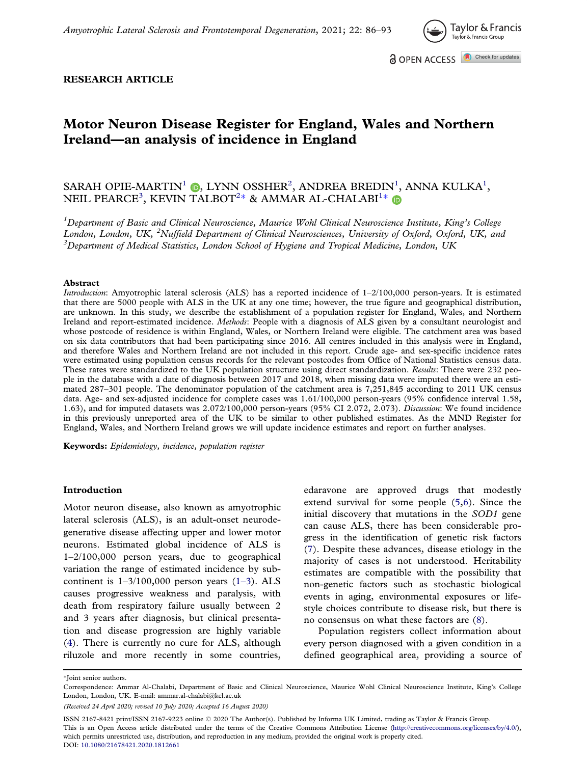

#### <span id="page-0-0"></span>RESEARCH ARTICLE

# Motor Neuron Disease Register for England, Wales and Northern Ireland—an analysis of incidence in England

# SARAH OPIE-MARTIN<sup>1</sup> (**b**, LYNN OSSHER<sup>2</sup>, ANDREA BREDIN<sup>1</sup>, ANNA KULKA<sup>1</sup>, NEIL PEARCE<sup>3</sup>, KEVIN TALBOT $^{2*}$  & AMMAR AL-CHALABI $^{1*}$

<sup>1</sup>Department of Basic and Clinical Neuroscience, Maurice Wohl Clinical Neuroscience Institute, King's College London, London, UK, <sup>2</sup>Nuffield Department of Clinical Neurosciences, University of Oxford, Oxford, UK, and  ${}^{3}$ Department of Medical Statistics, London School of Hygiene and Tropical Medicine, London, UK

#### Abstract

Introduction: Amyotrophic lateral sclerosis (ALS) has a reported incidence of 1–2/100,000 person-years. It is estimated that there are 5000 people with ALS in the UK at any one time; however, the true figure and geographical distribution, are unknown. In this study, we describe the establishment of a population register for England, Wales, and Northern Ireland and report-estimated incidence. Methods: People with a diagnosis of ALS given by a consultant neurologist and whose postcode of residence is within England, Wales, or Northern Ireland were eligible. The catchment area was based on six data contributors that had been participating since 2016. All centres included in this analysis were in England, and therefore Wales and Northern Ireland are not included in this report. Crude age- and sex-specific incidence rates were estimated using population census records for the relevant postcodes from Office of National Statistics census data. These rates were standardized to the UK population structure using direct standardization. Results: There were 232 people in the database with a date of diagnosis between 2017 and 2018, when missing data were imputed there were an estimated 287–301 people. The denominator population of the catchment area is 7,251,845 according to 2011 UK census data. Age- and sex-adjusted incidence for complete cases was 1.61/100,000 person-years (95% confidence interval 1.58, 1.63), and for imputed datasets was 2.072/100,000 person-years (95% CI 2.072, 2.073). Discussion: We found incidence in this previously unreported area of the UK to be similar to other published estimates. As the MND Register for England, Wales, and Northern Ireland grows we will update incidence estimates and report on further analyses.

Keywords: Epidemiology, incidence, population register

#### Introduction

Motor neuron disease, also known as amyotrophic lateral sclerosis (ALS), is an adult-onset neurodegenerative disease affecting upper and lower motor neurons. Estimated global incidence of ALS is 1–2/100,000 person years, due to geographical variation the range of estimated incidence by subcontinent is  $1-3/100,000$  person years  $(1-3)$  $(1-3)$ . ALS causes progressive weakness and paralysis, with death from respiratory failure usually between 2 and 3 years after diagnosis, but clinical presentation and disease progression are highly variable ([4](#page-6-0)). There is currently no cure for ALS, although riluzole and more recently in some countries, edaravone are approved drugs that modestly extend survival for some people [\(5,6](#page-6-0)). Since the initial discovery that mutations in the SOD1 gene can cause ALS, there has been considerable progress in the identification of genetic risk factors [\(7\)](#page-6-0). Despite these advances, disease etiology in the majority of cases is not understood. Heritability estimates are compatible with the possibility that non-genetic factors such as stochastic biological events in aging, environmental exposures or lifestyle choices contribute to disease risk, but there is no consensus on what these factors are [\(8\)](#page-6-0).

Population registers collect information about every person diagnosed with a given condition in a defined geographical area, providing a source of

\*Ioint senior authors.

ISSN 2167-8421 print/ISSN 2167-9223 online 2020 The Author(s). Published by Informa UK Limited, trading as Taylor & Francis Group. This is an Open Access article distributed under the terms of the Creative Commons Attribution License [\(http://creativecommons.org/licenses/by/4.0/\)](http://creativecommons.org/licenses/by/4.0/), which permits unrestricted use, distribution, and reproduction in any medium, provided the original work is properly cited. DOI: [10.1080/21678421.2020.1812661](https://doi.org/10.1080/21678421.2020.1812661)

Correspondence: Ammar Al-Chalabi, Department of Basic and Clinical Neuroscience, Maurice Wohl Clinical Neuroscience Institute, King's College London, London, UK. E-mail: ammar.al-chalabi@kcl.ac.uk

<sup>(</sup>Received 24 April 2020; revised 10 July 2020; Accepted 16 August 2020)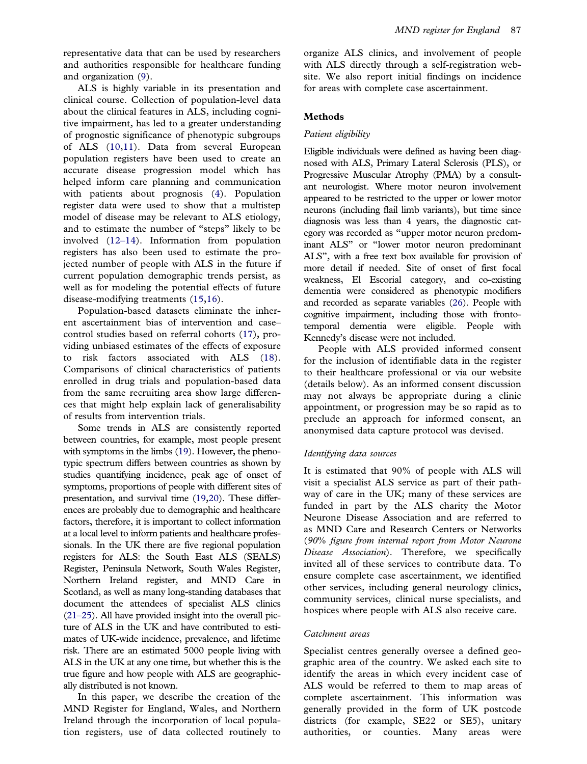<span id="page-1-0"></span>representative data that can be used by researchers and authorities responsible for healthcare funding and organization [\(9\)](#page-6-0).

ALS is highly variable in its presentation and clinical course. Collection of population-level data about the clinical features in ALS, including cognitive impairment, has led to a greater understanding of prognostic significance of phenotypic subgroups of ALS ([10,11\)](#page-6-0). Data from several European population registers have been used to create an accurate disease progression model which has helped inform care planning and communication with patients about prognosis [\(4\)](#page-6-0). Population register data were used to show that a multistep model of disease may be relevant to ALS etiology, and to estimate the number of "steps" likely to be involved (12–[14](#page-6-0)). Information from population registers has also been used to estimate the projected number of people with ALS in the future if current population demographic trends persist, as well as for modeling the potential effects of future disease-modifying treatments ([15,16\)](#page-6-0).

Population-based datasets eliminate the inherent ascertainment bias of intervention and case– control studies based on referral cohorts ([17\)](#page-6-0), providing unbiased estimates of the effects of exposure to risk factors associated with ALS ([18\)](#page-6-0). Comparisons of clinical characteristics of patients enrolled in drug trials and population-based data from the same recruiting area show large differences that might help explain lack of generalisability of results from intervention trials.

Some trends in ALS are consistently reported between countries, for example, most people present with symptoms in the limbs [\(19\)](#page-6-0). However, the phenotypic spectrum differs between countries as shown by studies quantifying incidence, peak age of onset of symptoms, proportions of people with different sites of presentation, and survival time [\(19,20](#page-6-0)). These differences are probably due to demographic and healthcare factors, therefore, it is important to collect information at a local level to inform patients and healthcare professionals. In the UK there are five regional population registers for ALS: the South East ALS (SEALS) Register, Peninsula Network, South Wales Register, Northern Ireland register, and MND Care in Scotland, as well as many long-standing databases that document the attendees of specialist ALS clinics [\(21](#page-6-0)–25). All have provided insight into the overall picture of ALS in the UK and have contributed to estimates of UK-wide incidence, prevalence, and lifetime risk. There are an estimated 5000 people living with ALS in the UK at any one time, but whether this is the true figure and how people with ALS are geographically distributed is not known.

In this paper, we describe the creation of the MND Register for England, Wales, and Northern Ireland through the incorporation of local population registers, use of data collected routinely to

organize ALS clinics, and involvement of people with ALS directly through a self-registration website. We also report initial findings on incidence for areas with complete case ascertainment.

### Methods

### Patient eligibility

Eligible individuals were defined as having been diagnosed with ALS, Primary Lateral Sclerosis (PLS), or Progressive Muscular Atrophy (PMA) by a consultant neurologist. Where motor neuron involvement appeared to be restricted to the upper or lower motor neurons (including flail limb variants), but time since diagnosis was less than 4 years, the diagnostic category was recorded as "upper motor neuron predominant ALS" or "lower motor neuron predominant ALS", with a free text box available for provision of more detail if needed. Site of onset of first focal weakness, El Escorial category, and co-existing dementia were considered as phenotypic modifiers and recorded as separate variables [\(26](#page-6-0)). People with cognitive impairment, including those with frontotemporal dementia were eligible. People with Kennedy's disease were not included.

People with ALS provided informed consent for the inclusion of identifiable data in the register to their healthcare professional or via our website (details below). As an informed consent discussion may not always be appropriate during a clinic appointment, or progression may be so rapid as to preclude an approach for informed consent, an anonymised data capture protocol was devised.

### Identifying data sources

It is estimated that 90% of people with ALS will visit a specialist ALS service as part of their pathway of care in the UK; many of these services are funded in part by the ALS charity the Motor Neurone Disease Association and are referred to as MND Care and Research Centers or Networks (90% figure from internal report from Motor Neurone Disease Association). Therefore, we specifically invited all of these services to contribute data. To ensure complete case ascertainment, we identified other services, including general neurology clinics, community services, clinical nurse specialists, and hospices where people with ALS also receive care.

### Catchment areas

Specialist centres generally oversee a defined geographic area of the country. We asked each site to identify the areas in which every incident case of ALS would be referred to them to map areas of complete ascertainment. This information was generally provided in the form of UK postcode districts (for example, SE22 or SE5), unitary authorities, or counties. Many areas were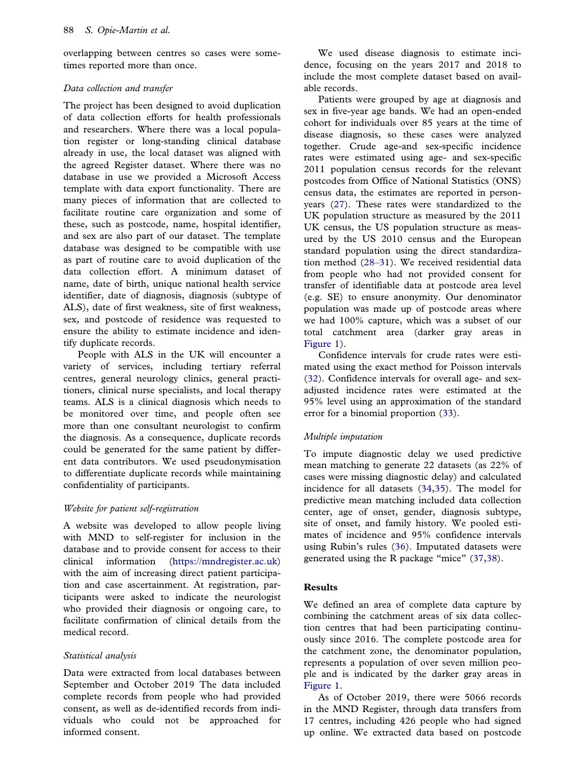<span id="page-2-0"></span>overlapping between centres so cases were sometimes reported more than once.

### Data collection and transfer

The project has been designed to avoid duplication of data collection efforts for health professionals and researchers. Where there was a local population register or long-standing clinical database already in use, the local dataset was aligned with the agreed Register dataset. Where there was no database in use we provided a Microsoft Access template with data export functionality. There are many pieces of information that are collected to facilitate routine care organization and some of these, such as postcode, name, hospital identifier, and sex are also part of our dataset. The template database was designed to be compatible with use as part of routine care to avoid duplication of the data collection effort. A minimum dataset of name, date of birth, unique national health service identifier, date of diagnosis, diagnosis (subtype of ALS), date of first weakness, site of first weakness, sex, and postcode of residence was requested to ensure the ability to estimate incidence and identify duplicate records.

People with ALS in the UK will encounter a variety of services, including tertiary referral centres, general neurology clinics, general practitioners, clinical nurse specialists, and local therapy teams. ALS is a clinical diagnosis which needs to be monitored over time, and people often see more than one consultant neurologist to confirm the diagnosis. As a consequence, duplicate records could be generated for the same patient by different data contributors. We used pseudonymisation to differentiate duplicate records while maintaining confidentiality of participants.

# Website for patient self-registration

A website was developed to allow people living with MND to self-register for inclusion in the database and to provide consent for access to their clinical information [\(https://mndregister.ac.uk\)](https://mndregister.ac.uk) with the aim of increasing direct patient participation and case ascertainment. At registration, participants were asked to indicate the neurologist who provided their diagnosis or ongoing care, to facilitate confirmation of clinical details from the medical record.

# Statistical analysis

Data were extracted from local databases between September and October 2019 The data included complete records from people who had provided consent, as well as de-identified records from individuals who could not be approached for informed consent.

We used disease diagnosis to estimate incidence, focusing on the years 2017 and 2018 to include the most complete dataset based on available records.

Patients were grouped by age at diagnosis and sex in five-year age bands. We had an open-ended cohort for individuals over 85 years at the time of disease diagnosis, so these cases were analyzed together. Crude age-and sex-specific incidence rates were estimated using age- and sex-specific 2011 population census records for the relevant postcodes from Office of National Statistics (ONS) census data, the estimates are reported in personyears ([27\)](#page-6-0). These rates were standardized to the UK population structure as measured by the 2011 UK census, the US population structure as measured by the US 2010 census and the European standard population using the direct standardization method (28–[31\)](#page-6-0). We received residential data from people who had not provided consent for transfer of identifiable data at postcode area level (e.g. SE) to ensure anonymity. Our denominator population was made up of postcode areas where we had 100% capture, which was a subset of our total catchment area (darker gray areas in [Figure 1\)](#page-3-0).

Confidence intervals for crude rates were estimated using the exact method for Poisson intervals [\(32](#page-7-0)). Confidence intervals for overall age- and sexadjusted incidence rates were estimated at the 95% level using an approximation of the standard error for a binomial proportion ([33\)](#page-7-0).

# Multiple imputation

To impute diagnostic delay we used predictive mean matching to generate 22 datasets (as 22% of cases were missing diagnostic delay) and calculated incidence for all datasets [\(34,35](#page-7-0)). The model for predictive mean matching included data collection center, age of onset, gender, diagnosis subtype, site of onset, and family history. We pooled estimates of incidence and 95% confidence intervals using Rubin's rules [\(36](#page-7-0)). Imputated datasets were generated using the R package "mice" [\(37,38](#page-7-0)).

### Results

We defined an area of complete data capture by combining the catchment areas of six data collection centres that had been participating continuously since 2016. The complete postcode area for the catchment zone, the denominator population, represents a population of over seven million people and is indicated by the darker gray areas in [Figure 1.](#page-3-0)

As of October 2019, there were 5066 records in the MND Register, through data transfers from 17 centres, including 426 people who had signed up online. We extracted data based on postcode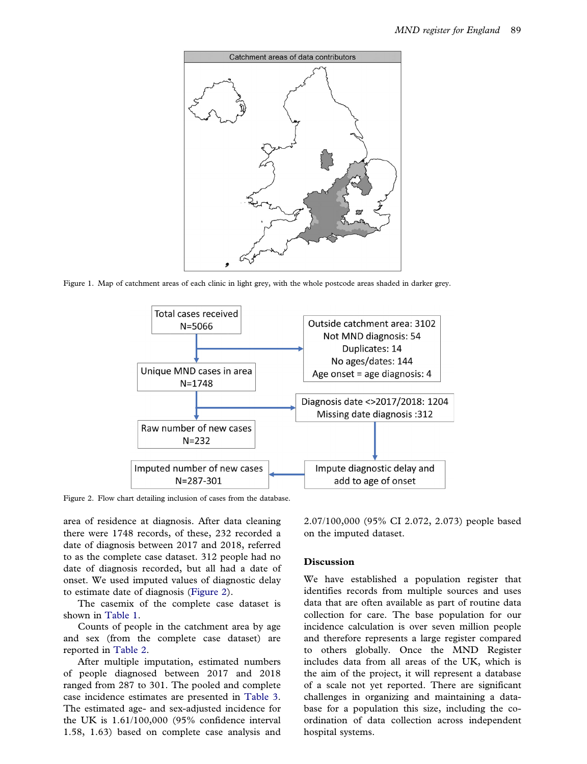<span id="page-3-0"></span>

Figure 1. Map of catchment areas of each clinic in light grey, with the whole postcode areas shaded in darker grey.



Figure 2. Flow chart detailing inclusion of cases from the database.

area of residence at diagnosis. After data cleaning there were 1748 records, of these, 232 recorded a date of diagnosis between 2017 and 2018, referred to as the complete case dataset. 312 people had no date of diagnosis recorded, but all had a date of onset. We used imputed values of diagnostic delay to estimate date of diagnosis (Figure 2).

The casemix of the complete case dataset is shown in [Table 1](#page-4-0).

Counts of people in the catchment area by age and sex (from the complete case dataset) are reported in [Table 2](#page-4-0).

After multiple imputation, estimated numbers of people diagnosed between 2017 and 2018 ranged from 287 to 301. The pooled and complete case incidence estimates are presented in [Table 3.](#page-4-0) The estimated age- and sex-adjusted incidence for the UK is 1.61/100,000 (95% confidence interval 1.58, 1.63) based on complete case analysis and 2.07/100,000 (95% CI 2.072, 2.073) people based on the imputed dataset.

#### Discussion

We have established a population register that identifies records from multiple sources and uses data that are often available as part of routine data collection for care. The base population for our incidence calculation is over seven million people and therefore represents a large register compared to others globally. Once the MND Register includes data from all areas of the UK, which is the aim of the project, it will represent a database of a scale not yet reported. There are significant challenges in organizing and maintaining a database for a population this size, including the coordination of data collection across independent hospital systems.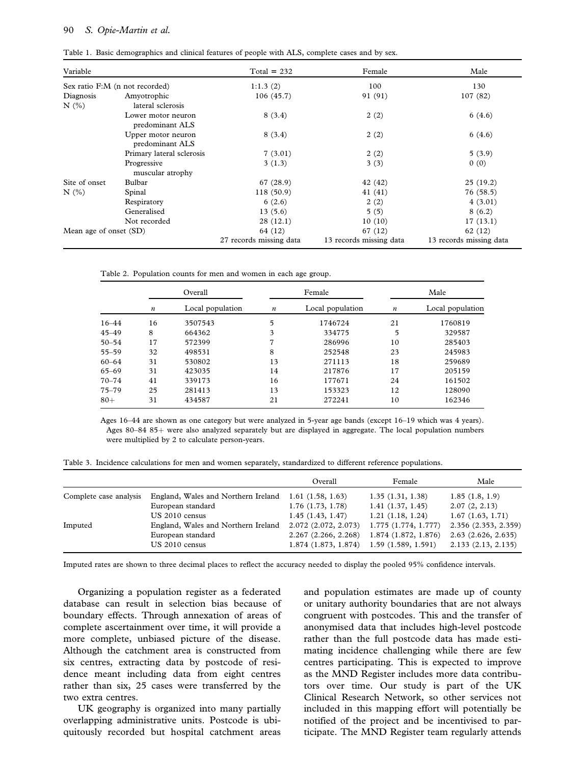#### <span id="page-4-0"></span>90 S. Opie-Martin et al.

| Variable                       |                                       | $Total = 232$           | Female                  | Male                    |
|--------------------------------|---------------------------------------|-------------------------|-------------------------|-------------------------|
| Sex ratio F:M (n not recorded) |                                       | 1:1.3(2)                | 100                     | 130                     |
| Diagnosis                      | Amyotrophic                           | 106(45.7)               | 91 (91)                 | 107(82)                 |
| N(%)                           | lateral sclerosis                     |                         |                         |                         |
|                                | Lower motor neuron<br>predominant ALS | 8(3.4)                  | 2(2)                    | 6(4.6)                  |
|                                | Upper motor neuron<br>predominant ALS | 8(3.4)                  | 2(2)                    | 6(4.6)                  |
|                                | Primary lateral sclerosis             | 7(3.01)                 | 2(2)                    | 5(3.9)                  |
|                                | Progressive<br>muscular atrophy       | 3(1.3)                  | 3(3)                    | 0(0)                    |
| Site of onset                  | Bulbar                                | 67 (28.9)               | 42 (42)                 | 25(19.2)                |
| N(%)                           | Spinal                                | 118(50.9)               | 41 (41)                 | 76(58.5)                |
|                                | Respiratory                           | 6(2.6)                  | 2(2)                    | 4(3.01)                 |
|                                | Generalised                           | 13(5.6)                 | 5(5)                    | 8(6.2)                  |
|                                | Not recorded                          | 28(12.1)                | 10(10)                  | 17(13.1)                |
| Mean age of onset (SD)         |                                       | 64 (12)                 | 67 (12)                 | 62 (12)                 |
|                                |                                       | 27 records missing data | 13 records missing data | 13 records missing data |

Table 2. Population counts for men and women in each age group.

|           | Overall          |                  | Female           |                  | Male             |                  |
|-----------|------------------|------------------|------------------|------------------|------------------|------------------|
|           | $\boldsymbol{n}$ | Local population | $\boldsymbol{n}$ | Local population | $\boldsymbol{n}$ | Local population |
| $16 - 44$ | 16               | 3507543          | 5                | 1746724          | 21               | 1760819          |
| $45 - 49$ | 8                | 664362           | 3                | 334775           | 5                | 329587           |
| $50 - 54$ | 17               | 572399           | 7                | 286996           | 10               | 285403           |
| $55 - 59$ | 32               | 498531           | 8                | 252548           | 23               | 245983           |
| $60 - 64$ | 31               | 530802           | 13               | 271113           | 18               | 259689           |
| $65 - 69$ | 31               | 423035           | 14               | 217876           | 17               | 205159           |
| $70 - 74$ | 41               | 339173           | 16               | 177671           | 24               | 161502           |
| $75 - 79$ | 25               | 281413           | 13               | 153323           | 12               | 128090           |
| $80 +$    | 31               | 434587           | 21               | 272241           | 10               | 162346           |

Ages 16–44 are shown as one category but were analyzed in 5-year age bands (except 16–19 which was 4 years). Ages  $80-8485+$  were also analyzed separately but are displayed in aggregate. The local population numbers were multiplied by 2 to calculate person-years.

Table 3. Incidence calculations for men and women separately, standardized to different reference populations.

|                        |                                     | Overall               | Female              | Male                 |
|------------------------|-------------------------------------|-----------------------|---------------------|----------------------|
| Complete case analysis | England, Wales and Northern Ireland | 1.61(1.58, 1.63)      | 1.35(1.31, 1.38)    | 1.85(1.8, 1.9)       |
|                        | European standard                   | $1.76$ $(1.73, 1.78)$ | 1.41(1.37, 1.45)    | 2.07(2, 2.13)        |
|                        | US 2010 census                      | 1.45(1.43, 1.47)      | 1.21(1.18, 1.24)    | 1.67(1.63, 1.71)     |
| Imputed                | England, Wales and Northern Ireland | 2.072 (2.072, 2.073)  | 1.775(1.774, 1.777) | 2.356 (2.353, 2.359) |
|                        | European standard                   | 2.267(2.266, 2.268)   | 1.874(1.872, 1.876) | 2.63(2.626, 2.635)   |
|                        | US 2010 census                      | 1.874(1.873, 1.874)   | 1.59(1.589, 1.591)  | 2.133(2.13, 2.135)   |

Imputed rates are shown to three decimal places to reflect the accuracy needed to display the pooled 95% confidence intervals.

Organizing a population register as a federated database can result in selection bias because of boundary effects. Through annexation of areas of complete ascertainment over time, it will provide a more complete, unbiased picture of the disease. Although the catchment area is constructed from six centres, extracting data by postcode of residence meant including data from eight centres rather than six, 25 cases were transferred by the two extra centres.

UK geography is organized into many partially overlapping administrative units. Postcode is ubiquitously recorded but hospital catchment areas and population estimates are made up of county or unitary authority boundaries that are not always congruent with postcodes. This and the transfer of anonymised data that includes high-level postcode rather than the full postcode data has made estimating incidence challenging while there are few centres participating. This is expected to improve as the MND Register includes more data contributors over time. Our study is part of the UK Clinical Research Network, so other services not included in this mapping effort will potentially be notified of the project and be incentivised to participate. The MND Register team regularly attends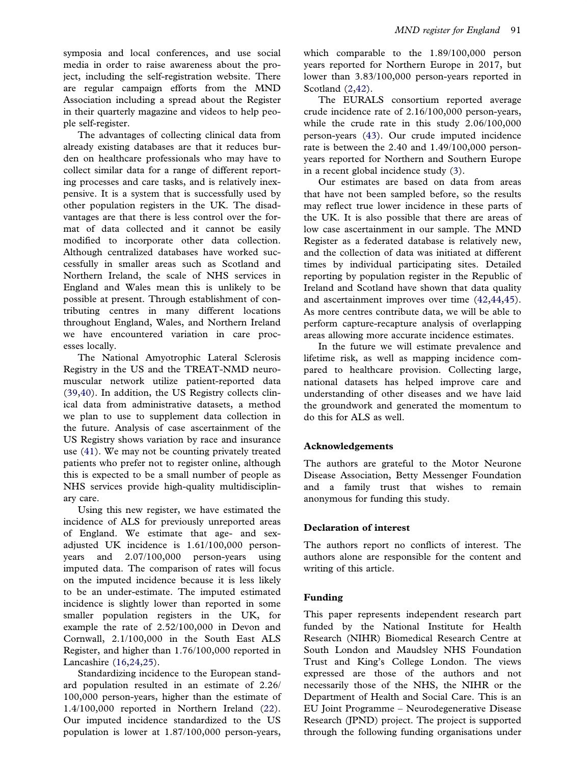<span id="page-5-0"></span>symposia and local conferences, and use social media in order to raise awareness about the project, including the self-registration website. There are regular campaign efforts from the MND Association including a spread about the Register in their quarterly magazine and videos to help people self-register.

The advantages of collecting clinical data from already existing databases are that it reduces burden on healthcare professionals who may have to collect similar data for a range of different reporting processes and care tasks, and is relatively inexpensive. It is a system that is successfully used by other population registers in the UK. The disadvantages are that there is less control over the format of data collected and it cannot be easily modified to incorporate other data collection. Although centralized databases have worked successfully in smaller areas such as Scotland and Northern Ireland, the scale of NHS services in England and Wales mean this is unlikely to be possible at present. Through establishment of contributing centres in many different locations throughout England, Wales, and Northern Ireland we have encountered variation in care processes locally.

The National Amyotrophic Lateral Sclerosis Registry in the US and the TREAT-NMD neuromuscular network utilize patient-reported data ([39,40\)](#page-7-0). In addition, the US Registry collects clinical data from administrative datasets, a method we plan to use to supplement data collection in the future. Analysis of case ascertainment of the US Registry shows variation by race and insurance use [\(41](#page-7-0)). We may not be counting privately treated patients who prefer not to register online, although this is expected to be a small number of people as NHS services provide high-quality multidisciplinary care.

Using this new register, we have estimated the incidence of ALS for previously unreported areas of England. We estimate that age- and sexadjusted UK incidence is 1.61/100,000 personyears and 2.07/100,000 person-years using imputed data. The comparison of rates will focus on the imputed incidence because it is less likely to be an under-estimate. The imputed estimated incidence is slightly lower than reported in some smaller population registers in the UK, for example the rate of 2.52/100,000 in Devon and Cornwall, 2.1/100,000 in the South East ALS Register, and higher than 1.76/100,000 reported in Lancashire [\(16,24,25](#page-6-0)).

Standardizing incidence to the European standard population resulted in an estimate of 2.26/ 100,000 person-years, higher than the estimate of 1.4/100,000 reported in Northern Ireland ([22\)](#page-6-0). Our imputed incidence standardized to the US population is lower at 1.87/100,000 person-years,

which comparable to the 1.89/100,000 person years reported for Northern Europe in 2017, but lower than 3.83/100,000 person-years reported in Scotland  $(2,42)$  $(2,42)$ .

The EURALS consortium reported average crude incidence rate of 2.16/100,000 person-years, while the crude rate in this study 2.06/100,000 person-years [\(43](#page-7-0)). Our crude imputed incidence rate is between the 2.40 and 1.49/100,000 personyears reported for Northern and Southern Europe in a recent global incidence study ([3](#page-6-0)).

Our estimates are based on data from areas that have not been sampled before, so the results may reflect true lower incidence in these parts of the UK. It is also possible that there are areas of low case ascertainment in our sample. The MND Register as a federated database is relatively new, and the collection of data was initiated at different times by individual participating sites. Detailed reporting by population register in the Republic of Ireland and Scotland have shown that data quality and ascertainment improves over time ([42,44,45\)](#page-7-0). As more centres contribute data, we will be able to perform capture-recapture analysis of overlapping areas allowing more accurate incidence estimates.

In the future we will estimate prevalence and lifetime risk, as well as mapping incidence compared to healthcare provision. Collecting large, national datasets has helped improve care and understanding of other diseases and we have laid the groundwork and generated the momentum to do this for ALS as well.

# Acknowledgements

The authors are grateful to the Motor Neurone Disease Association, Betty Messenger Foundation and a family trust that wishes to remain anonymous for funding this study.

### Declaration of interest

The authors report no conflicts of interest. The authors alone are responsible for the content and writing of this article.

### Funding

This paper represents independent research part funded by the National Institute for Health Research (NIHR) Biomedical Research Centre at South London and Maudsley NHS Foundation Trust and King's College London. The views expressed are those of the authors and not necessarily those of the NHS, the NIHR or the Department of Health and Social Care. This is an EU Joint Programme – Neurodegenerative Disease Research (JPND) project. The project is supported through the following funding organisations under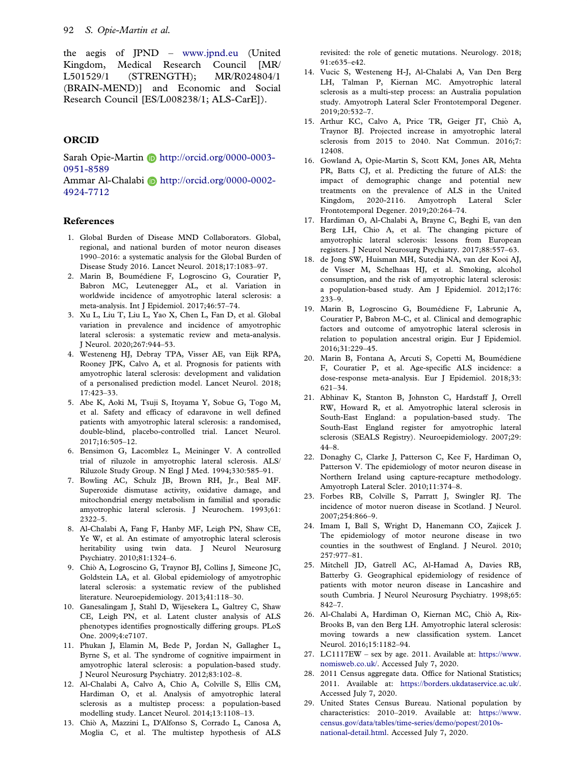<span id="page-6-0"></span>the aegis of JPND – www.jpnd.eu (United Kingdom, Medical Research Council [MR/ L501529/1 (STRENGTH); MR/R024804/1 (BRAIN-MEND)] and Economic and Social Research Council [ES/L008238/1; ALS-CarE]).

# **ORCID**

Sarah Opie-Martin D http://orcid.org/0000-0003-0951-8589

Ammar Al-Chalabi **b** http://orcid.org/0000-0002-4924-7712

### References

- [1.](#page-0-0) Global Burden of Disease MND Collaborators. Global, regional, and national burden of motor neuron diseases 1990–2016: a systematic analysis for the Global Burden of Disease Study 2016. Lancet Neurol. 2018;17:1083–97.
- [2.](#page-5-0) Marin B, Boumediene F, Logroscino G, Couratier P, Babron MC, Leutenegger AL, et al. Variation in worldwide incidence of amyotrophic lateral sclerosis: a meta-analysis. Int J Epidemiol. 2017;46:57–74.
- [3.](#page-5-0) Xu L, Liu T, Liu L, Yao X, Chen L, Fan D, et al. Global variation in prevalence and incidence of amyotrophic lateral sclerosis: a systematic review and meta-analysis. J Neurol. 2020;267:944–53.
- [4.](#page-0-0) Westeneng HJ, Debray TPA, Visser AE, van Eijk RPA, Rooney JPK, Calvo A, et al. Prognosis for patients with amyotrophic lateral sclerosis: development and validation of a personalised prediction model. Lancet Neurol. 2018; 17:423–33.
- [5.](#page-0-0) Abe K, Aoki M, Tsuji S, Itoyama Y, Sobue G, Togo M, et al. Safety and efficacy of edaravone in well defined patients with amyotrophic lateral sclerosis: a randomised, double-blind, placebo-controlled trial. Lancet Neurol. 2017;16:505–12.
- [6.](#page-0-0) Bensimon G, Lacomblez L, Meininger V. A controlled trial of riluzole in amyotrophic lateral sclerosis. ALS/ Riluzole Study Group. N Engl J Med. 1994;330:585–91.
- [7.](#page-0-0) Bowling AC, Schulz JB, Brown RH, Jr., Beal MF. Superoxide dismutase activity, oxidative damage, and mitochondrial energy metabolism in familial and sporadic amyotrophic lateral sclerosis. J Neurochem. 1993;61: 2322–5.
- [8.](#page-0-0) Al-Chalabi A, Fang F, Hanby MF, Leigh PN, Shaw CE, Ye W, et al. An estimate of amyotrophic lateral sclerosis heritability using twin data. J Neurol Neurosurg Psychiatry. 2010;81:1324–6.
- [9.](#page-1-0) Chio A, Logroscino G, Traynor BJ, Collins J, Simeone JC, Goldstein LA, et al. Global epidemiology of amyotrophic lateral sclerosis: a systematic review of the published literature. Neuroepidemiology. 2013;41:118–30.
- [10.](#page-1-0) Ganesalingam J, Stahl D, Wijesekera L, Galtrey C, Shaw CE, Leigh PN, et al. Latent cluster analysis of ALS phenotypes identifies prognostically differing groups. PLoS One. 2009;4:e7107.
- [11.](#page-1-0) Phukan J, Elamin M, Bede P, Jordan N, Gallagher L, Byrne S, et al. The syndrome of cognitive impairment in amyotrophic lateral sclerosis: a population-based study. J Neurol Neurosurg Psychiatry. 2012;83:102–8.
- [12.](#page-1-0) Al-Chalabi A, Calvo A, Chio A, Colville S, Ellis CM, Hardiman O, et al. Analysis of amyotrophic lateral sclerosis as a multistep process: a population-based modelling study. Lancet Neurol. 2014;13:1108–13.
- 13. Chio A, Mazzini L, D'Alfonso S, Corrado L, Canosa A, Moglia C, et al. The multistep hypothesis of ALS

revisited: the role of genetic mutations. Neurology. 2018; 91:e635–e42.

- 14. Vucic S, Westeneng H-J, Al-Chalabi A, Van Den Berg LH, Talman P, Kiernan MC. Amyotrophic lateral sclerosis as a multi-step process: an Australia population study. Amyotroph Lateral Scler Frontotemporal Degener. 2019;20:532–7.
- [15](#page-1-0). Arthur KC, Calvo A, Price TR, Geiger JT, Chiò A, Traynor BJ. Projected increase in amyotrophic lateral sclerosis from 2015 to 2040. Nat Commun. 2016;7: 12408.
- [16](#page-1-0). Gowland A, Opie-Martin S, Scott KM, Jones AR, Mehta PR, Batts CJ, et al. Predicting the future of ALS: the impact of demographic change and potential new treatments on the prevalence of ALS in the United Kingdom, 2020-2116. Amyotroph Lateral Scler Frontotemporal Degener. 2019;20:264–74.
- [17](#page-1-0). Hardiman O, Al-Chalabi A, Brayne C, Beghi E, van den Berg LH, Chio A, et al. The changing picture of amyotrophic lateral sclerosis: lessons from European registers. J Neurol Neurosurg Psychiatry. 2017;88:557–63.
- [18](#page-1-0). de Jong SW, Huisman MH, Sutedja NA, van der Kooi AJ, de Visser M, Schelhaas HJ, et al. Smoking, alcohol consumption, and the risk of amyotrophic lateral sclerosis: a population-based study. Am J Epidemiol. 2012;176: 233–9.
- [19](#page-1-0). Marin B, Logroscino G, Boumediene F, Labrunie A, Couratier P, Babron M-C, et al. Clinical and demographic factors and outcome of amyotrophic lateral sclerosis in relation to population ancestral origin. Eur J Epidemiol. 2016;31:229–45.
- [20](#page-1-0). Marin B, Fontana A, Arcuti S, Copetti M, Boumediene F, Couratier P, et al. Age-specific ALS incidence: a dose-response meta-analysis. Eur J Epidemiol. 2018;33: 621–34.
- [21](#page-1-0). Abhinav K, Stanton B, Johnston C, Hardstaff J, Orrell RW, Howard R, et al. Amyotrophic lateral sclerosis in South-East England: a population-based study. The South-East England register for amyotrophic lateral sclerosis (SEALS Registry). Neuroepidemiology. 2007;29: 44–8.
- [22](#page-5-0). Donaghy C, Clarke J, Patterson C, Kee F, Hardiman O, Patterson V. The epidemiology of motor neuron disease in Northern Ireland using capture-recapture methodology. Amyotroph Lateral Scler. 2010;11:374–8.
- 23. Forbes RB, Colville S, Parratt J, Swingler RJ. The incidence of motor nueron disease in Scotland. J Neurol. 2007;254:866–9.
- [24](#page-5-0). Imam I, Ball S, Wright D, Hanemann CO, Zajicek J. The epidemiology of motor neurone disease in two counties in the southwest of England. J Neurol. 2010; 257:977–81.
- [25](#page-5-0). Mitchell JD, Gatrell AC, Al-Hamad A, Davies RB, Batterby G. Geographical epidemiology of residence of patients with motor neuron disease in Lancashire and south Cumbria. J Neurol Neurosurg Psychiatry. 1998;65: 842–7.
- [26](#page-1-0). Al-Chalabi A, Hardiman O, Kiernan MC, Chio A, Rix- Brooks B, van den Berg LH. Amyotrophic lateral sclerosis: moving towards a new classification system. Lancet Neurol. 2016;15:1182–94.
- [27](#page-2-0). LC1117EW sex by age. 2011. Available at: [https://www.](https://www.nomisweb.co.uk/) [nomisweb.co.uk/.](https://www.nomisweb.co.uk/) Accessed July 7, 2020.
- [28](#page-2-0). 2011 Census aggregate data. Office for National Statistics; 2011. Available at: <https://borders.ukdataservice.ac.uk/>. Accessed July 7, 2020.
- 29. United States Census Bureau. National population by characteristics: 2010–2019. Available at: [https://www.](https://www.census.gov/data/tables/time-series/demo/popest/2010s-national-detail.html) [census.gov/data/tables/time-series/demo/popest/2010s](https://www.census.gov/data/tables/time-series/demo/popest/2010s-national-detail.html)[national-detail.html](https://www.census.gov/data/tables/time-series/demo/popest/2010s-national-detail.html). Accessed July 7, 2020.